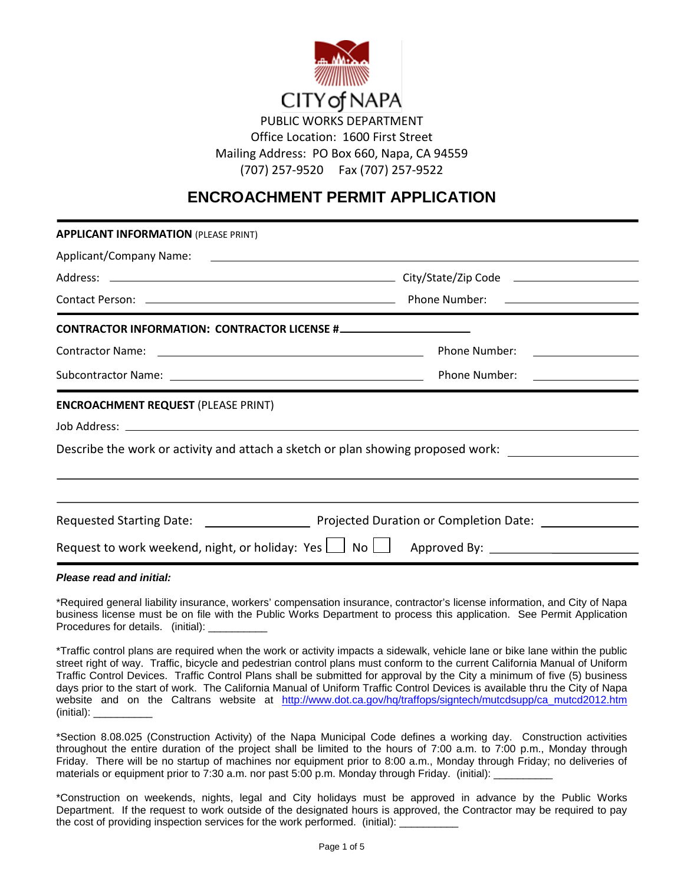

Office Location: 1600 First Street Mailing Address: PO Box 660, Napa, CA 94559 (707) 257-9520 Fax (707) 257-9522

# **ENCROACHMENT PERMIT APPLICATION**

| <b>APPLICANT INFORMATION (PLEASE PRINT)</b> |                                                                                                   |
|---------------------------------------------|---------------------------------------------------------------------------------------------------|
|                                             |                                                                                                   |
|                                             |                                                                                                   |
|                                             |                                                                                                   |
|                                             |                                                                                                   |
|                                             |                                                                                                   |
|                                             |                                                                                                   |
| <b>ENCROACHMENT REQUEST (PLEASE PRINT)</b>  |                                                                                                   |
|                                             |                                                                                                   |
|                                             | Describe the work or activity and attach a sketch or plan showing proposed work:                  |
|                                             | ,我们也不会有什么。""我们的人,我们也不会有什么?""我们的人,我们也不会有什么?""我们的人,我们也不会有什么?""我们的人,我们也不会有什么?""我们的人                  |
|                                             |                                                                                                   |
|                                             |                                                                                                   |
|                                             | Request to work weekend, night, or holiday: Yes $\Box$ No $\Box$ Approved By: $\Box$ Approved By: |
|                                             |                                                                                                   |

*Please read and initial:*

\*Required general liability insurance, workers' compensation insurance, contractor's license information, and City of Napa business license must be on file with the Public Works Department to process this application. See Permit Application Procedures for details. (initial):

\*Traffic control plans are required when the work or activity impacts a sidewalk, vehicle lane or bike lane within the public street right of way. Traffic, bicycle and pedestrian control plans must conform to the current California Manual of Uniform Traffic Control Devices. Traffic Control Plans shall be submitted for approval by the City a minimum of five (5) business days prior to the start of work. The California Manual of Uniform Traffic Control Devices is available thru the City of Napa website and on the Caltrans website at [http://www.dot.ca.gov/hq/traffops/signtech/mutcdsupp/ca\\_mutcd2012.htm](http://www.dot.ca.gov/hq/traffops/signtech/mutcdsupp/ca_mutcd2012.htm)  (initial): \_\_\_\_\_\_\_\_\_\_

\*Section 8.08.025 (Construction Activity) of the Napa Municipal Code defines a working day. Construction activities throughout the entire duration of the project shall be limited to the hours of 7:00 a.m. to 7:00 p.m., Monday through Friday. There will be no startup of machines nor equipment prior to 8:00 a.m., Monday through Friday; no deliveries of materials or equipment prior to 7:30 a.m. nor past 5:00 p.m. Monday through Friday. (initial):

\*Construction on weekends, nights, legal and City holidays must be approved in advance by the Public Works Department. If the request to work outside of the designated hours is approved, the Contractor may be required to pay the cost of providing inspection services for the work performed. (initial):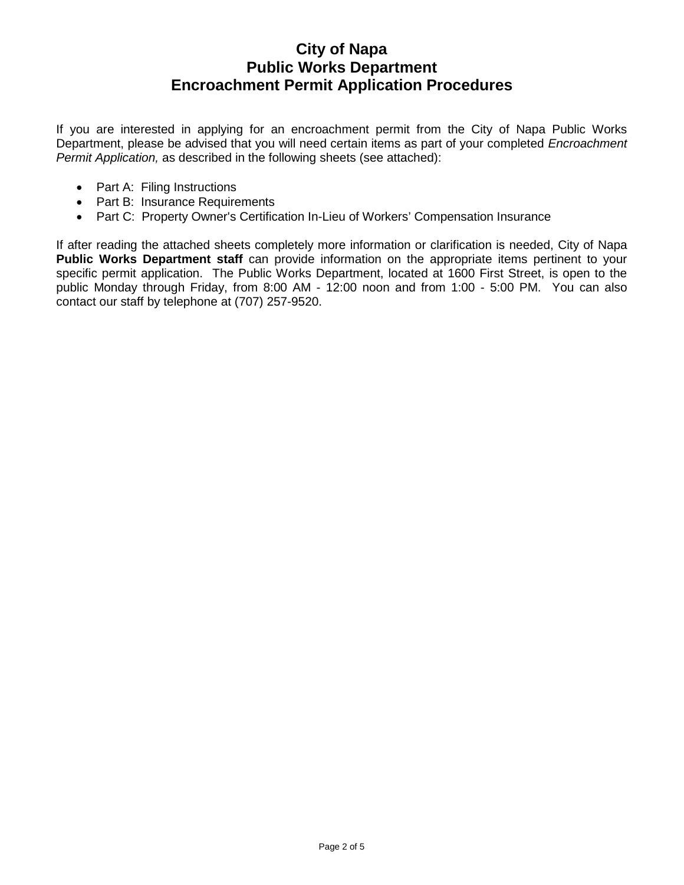If you are interested in applying for an encroachment permit from the City of Napa Public Works Department, please be advised that you will need certain items as part of your completed *Encroachment Permit Application,* as described in the following sheets (see attached):

- Part A: Filing Instructions
- Part B: Insurance Requirements
- Part C: Property Owner's Certification In-Lieu of Workers' Compensation Insurance

If after reading the attached sheets completely more information or clarification is needed, City of Napa **Public Works Department staff** can provide information on the appropriate items pertinent to your specific permit application. The Public Works Department, located at 1600 First Street, is open to the public Monday through Friday, from 8:00 AM - 12:00 noon and from 1:00 - 5:00 PM. You can also contact our staff by telephone at (707) 257-9520.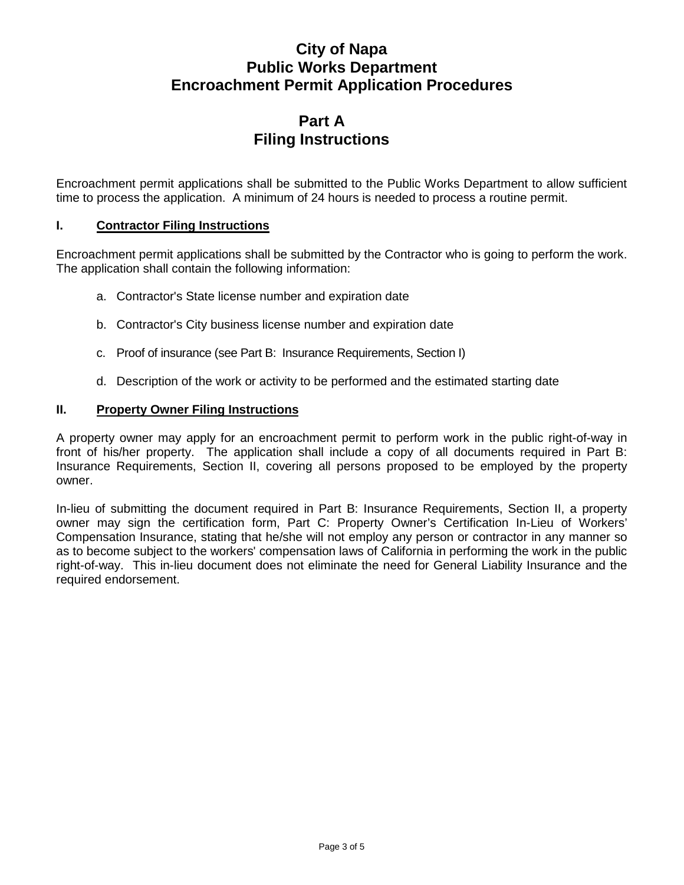# **Part A Filing Instructions**

Encroachment permit applications shall be submitted to the Public Works Department to allow sufficient time to process the application. A minimum of 24 hours is needed to process a routine permit.

#### **I. Contractor Filing Instructions**

Encroachment permit applications shall be submitted by the Contractor who is going to perform the work. The application shall contain the following information:

- a. Contractor's State license number and expiration date
- b. Contractor's City business license number and expiration date
- c. Proof of insurance (see Part B: Insurance Requirements, Section I)
- d. Description of the work or activity to be performed and the estimated starting date

#### **II. Property Owner Filing Instructions**

A property owner may apply for an encroachment permit to perform work in the public right-of-way in front of his/her property. The application shall include a copy of all documents required in Part B: Insurance Requirements, Section II, covering all persons proposed to be employed by the property owner.

In-lieu of submitting the document required in Part B: Insurance Requirements, Section II, a property owner may sign the certification form, Part C: Property Owner's Certification In-Lieu of Workers' Compensation Insurance, stating that he/she will not employ any person or contractor in any manner so as to become subject to the workers' compensation laws of California in performing the work in the public right-of-way. This in-lieu document does not eliminate the need for General Liability Insurance and the required endorsement.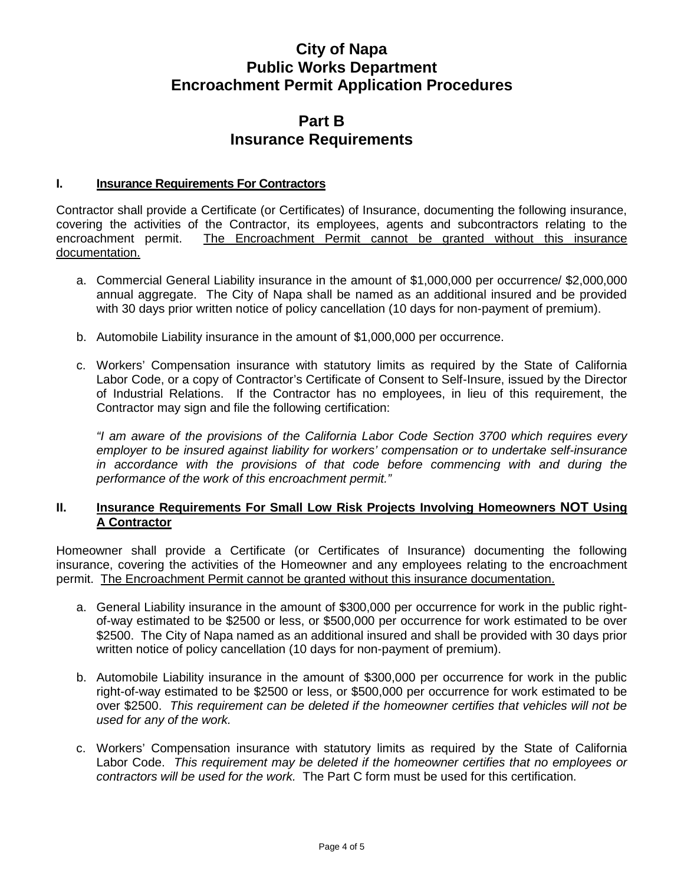### **Part B Insurance Requirements**

#### **I. Insurance Requirements For Contractors**

Contractor shall provide a Certificate (or Certificates) of Insurance, documenting the following insurance, covering the activities of the Contractor, its employees, agents and subcontractors relating to the encroachment permit. The Encroachment Permit cannot be granted without this insurance documentation.

- a. Commercial General Liability insurance in the amount of \$1,000,000 per occurrence/ \$2,000,000 annual aggregate. The City of Napa shall be named as an additional insured and be provided with 30 days prior written notice of policy cancellation (10 days for non-payment of premium).
- b. Automobile Liability insurance in the amount of \$1,000,000 per occurrence.
- c. Workers' Compensation insurance with statutory limits as required by the State of California Labor Code, or a copy of Contractor's Certificate of Consent to Self-Insure, issued by the Director of Industrial Relations. If the Contractor has no employees, in lieu of this requirement, the Contractor may sign and file the following certification:

*"I am aware of the provisions of the California Labor Code Section 3700 which requires every employer to be insured against liability for workers' compensation or to undertake self-insurance in accordance with the provisions of that code before commencing with and during the performance of the work of this encroachment permit."*

#### **II. Insurance Requirements For Small Low Risk Projects Involving Homeowners NOT Using A Contractor**

Homeowner shall provide a Certificate (or Certificates of Insurance) documenting the following insurance, covering the activities of the Homeowner and any employees relating to the encroachment permit. The Encroachment Permit cannot be granted without this insurance documentation.

- a. General Liability insurance in the amount of \$300,000 per occurrence for work in the public rightof-way estimated to be \$2500 or less, or \$500,000 per occurrence for work estimated to be over \$2500. The City of Napa named as an additional insured and shall be provided with 30 days prior written notice of policy cancellation (10 days for non-payment of premium).
- b. Automobile Liability insurance in the amount of \$300,000 per occurrence for work in the public right-of-way estimated to be \$2500 or less, or \$500,000 per occurrence for work estimated to be over \$2500. *This requirement can be deleted if the homeowner certifies that vehicles will not be used for any of the work.*
- c. Workers' Compensation insurance with statutory limits as required by the State of California Labor Code. *This requirement may be deleted if the homeowner certifies that no employees or contractors will be used for the work.* The Part C form must be used for this certification.